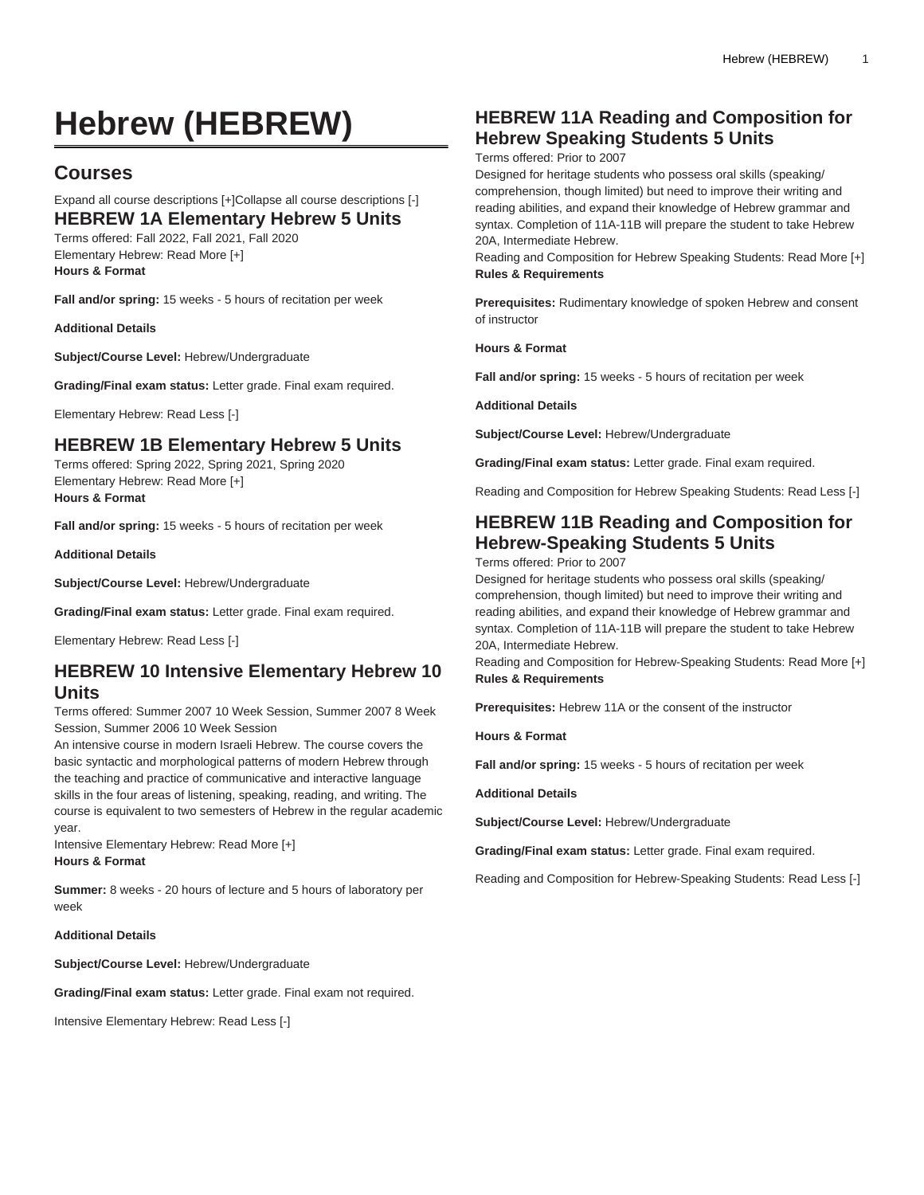# **Hebrew (HEBREW)**

## **Courses**

# Expand all course descriptions [+]Collapse all course descriptions [-]

**HEBREW 1A Elementary Hebrew 5 Units** Terms offered: Fall 2022, Fall 2021, Fall 2020

Elementary Hebrew: Read More [+] **Hours & Format**

**Fall and/or spring:** 15 weeks - 5 hours of recitation per week

**Additional Details**

**Subject/Course Level:** Hebrew/Undergraduate

**Grading/Final exam status:** Letter grade. Final exam required.

Elementary Hebrew: Read Less [-]

#### **HEBREW 1B Elementary Hebrew 5 Units**

Terms offered: Spring 2022, Spring 2021, Spring 2020 Elementary Hebrew: Read More [+] **Hours & Format**

**Fall and/or spring:** 15 weeks - 5 hours of recitation per week

**Additional Details**

**Subject/Course Level:** Hebrew/Undergraduate

**Grading/Final exam status:** Letter grade. Final exam required.

Elementary Hebrew: Read Less [-]

## **HEBREW 10 Intensive Elementary Hebrew 10 Units**

Terms offered: Summer 2007 10 Week Session, Summer 2007 8 Week Session, Summer 2006 10 Week Session

An intensive course in modern Israeli Hebrew. The course covers the basic syntactic and morphological patterns of modern Hebrew through the teaching and practice of communicative and interactive language skills in the four areas of listening, speaking, reading, and writing. The course is equivalent to two semesters of Hebrew in the regular academic year.

Intensive Elementary Hebrew: Read More [+] **Hours & Format**

**Summer:** 8 weeks - 20 hours of lecture and 5 hours of laboratory per week

#### **Additional Details**

**Subject/Course Level:** Hebrew/Undergraduate

**Grading/Final exam status:** Letter grade. Final exam not required.

Intensive Elementary Hebrew: Read Less [-]

#### **HEBREW 11A Reading and Composition for Hebrew Speaking Students 5 Units**

Terms offered: Prior to 2007

Designed for heritage students who possess oral skills (speaking/ comprehension, though limited) but need to improve their writing and reading abilities, and expand their knowledge of Hebrew grammar and syntax. Completion of 11A-11B will prepare the student to take Hebrew 20A, Intermediate Hebrew.

Reading and Composition for Hebrew Speaking Students: Read More [+] **Rules & Requirements**

**Prerequisites:** Rudimentary knowledge of spoken Hebrew and consent of instructor

**Hours & Format**

**Fall and/or spring:** 15 weeks - 5 hours of recitation per week

**Additional Details**

**Subject/Course Level:** Hebrew/Undergraduate

**Grading/Final exam status:** Letter grade. Final exam required.

Reading and Composition for Hebrew Speaking Students: Read Less [-]

## **HEBREW 11B Reading and Composition for Hebrew-Speaking Students 5 Units**

Terms offered: Prior to 2007

Designed for heritage students who possess oral skills (speaking/ comprehension, though limited) but need to improve their writing and reading abilities, and expand their knowledge of Hebrew grammar and syntax. Completion of 11A-11B will prepare the student to take Hebrew 20A, Intermediate Hebrew.

Reading and Composition for Hebrew-Speaking Students: Read More [+] **Rules & Requirements**

**Prerequisites:** Hebrew 11A or the consent of the instructor

**Hours & Format**

**Fall and/or spring:** 15 weeks - 5 hours of recitation per week

**Additional Details**

**Subject/Course Level:** Hebrew/Undergraduate

**Grading/Final exam status:** Letter grade. Final exam required.

Reading and Composition for Hebrew-Speaking Students: Read Less [-]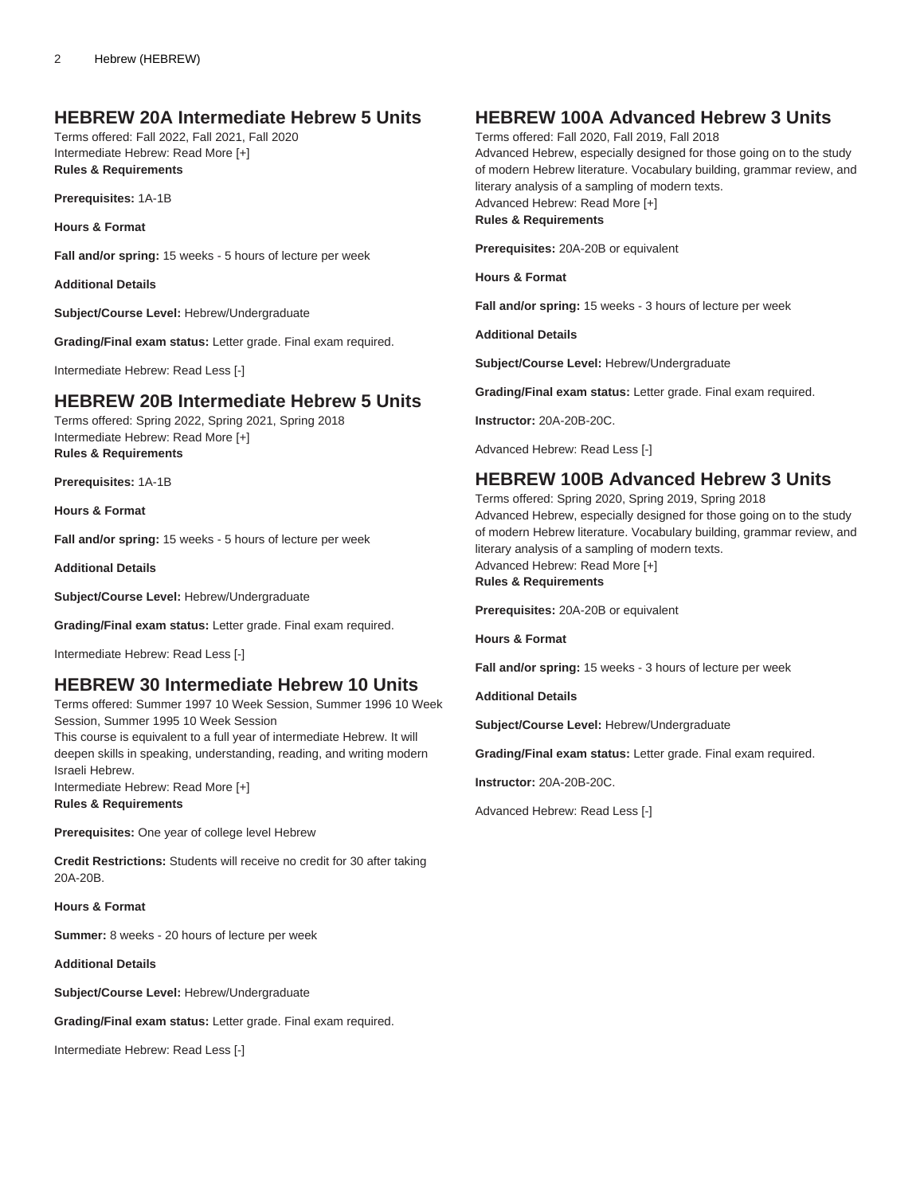#### **HEBREW 20A Intermediate Hebrew 5 Units**

Terms offered: Fall 2022, Fall 2021, Fall 2020 Intermediate Hebrew: Read More [+] **Rules & Requirements**

**Prerequisites:** 1A-1B

**Hours & Format**

**Fall and/or spring:** 15 weeks - 5 hours of lecture per week

**Additional Details**

**Subject/Course Level:** Hebrew/Undergraduate

**Grading/Final exam status:** Letter grade. Final exam required.

Intermediate Hebrew: Read Less [-]

#### **HEBREW 20B Intermediate Hebrew 5 Units**

Terms offered: Spring 2022, Spring 2021, Spring 2018 Intermediate Hebrew: Read More [+] **Rules & Requirements**

**Prerequisites:** 1A-1B

**Hours & Format**

**Fall and/or spring:** 15 weeks - 5 hours of lecture per week

**Additional Details**

**Subject/Course Level:** Hebrew/Undergraduate

**Grading/Final exam status:** Letter grade. Final exam required.

Intermediate Hebrew: Read Less [-]

#### **HEBREW 30 Intermediate Hebrew 10 Units**

Terms offered: Summer 1997 10 Week Session, Summer 1996 10 Week Session, Summer 1995 10 Week Session

This course is equivalent to a full year of intermediate Hebrew. It will deepen skills in speaking, understanding, reading, and writing modern Israeli Hebrew.

Intermediate Hebrew: Read More [+] **Rules & Requirements**

**Prerequisites:** One year of college level Hebrew

**Credit Restrictions:** Students will receive no credit for 30 after taking 20A-20B.

**Hours & Format**

**Summer:** 8 weeks - 20 hours of lecture per week

**Additional Details**

**Subject/Course Level:** Hebrew/Undergraduate

**Grading/Final exam status:** Letter grade. Final exam required.

Intermediate Hebrew: Read Less [-]

#### **HEBREW 100A Advanced Hebrew 3 Units**

Terms offered: Fall 2020, Fall 2019, Fall 2018 Advanced Hebrew, especially designed for those going on to the study of modern Hebrew literature. Vocabulary building, grammar review, and literary analysis of a sampling of modern texts. Advanced Hebrew: Read More [+] **Rules & Requirements**

**Prerequisites:** 20A-20B or equivalent

**Hours & Format**

**Fall and/or spring:** 15 weeks - 3 hours of lecture per week

**Additional Details**

**Subject/Course Level:** Hebrew/Undergraduate

**Grading/Final exam status:** Letter grade. Final exam required.

**Instructor:** 20A-20B-20C.

Advanced Hebrew: Read Less [-]

#### **HEBREW 100B Advanced Hebrew 3 Units**

Terms offered: Spring 2020, Spring 2019, Spring 2018 Advanced Hebrew, especially designed for those going on to the study of modern Hebrew literature. Vocabulary building, grammar review, and literary analysis of a sampling of modern texts. Advanced Hebrew: Read More [+]

**Rules & Requirements**

**Prerequisites:** 20A-20B or equivalent

**Hours & Format**

**Fall and/or spring:** 15 weeks - 3 hours of lecture per week

**Additional Details**

**Subject/Course Level:** Hebrew/Undergraduate

**Grading/Final exam status:** Letter grade. Final exam required.

**Instructor:** 20A-20B-20C.

Advanced Hebrew: Read Less [-]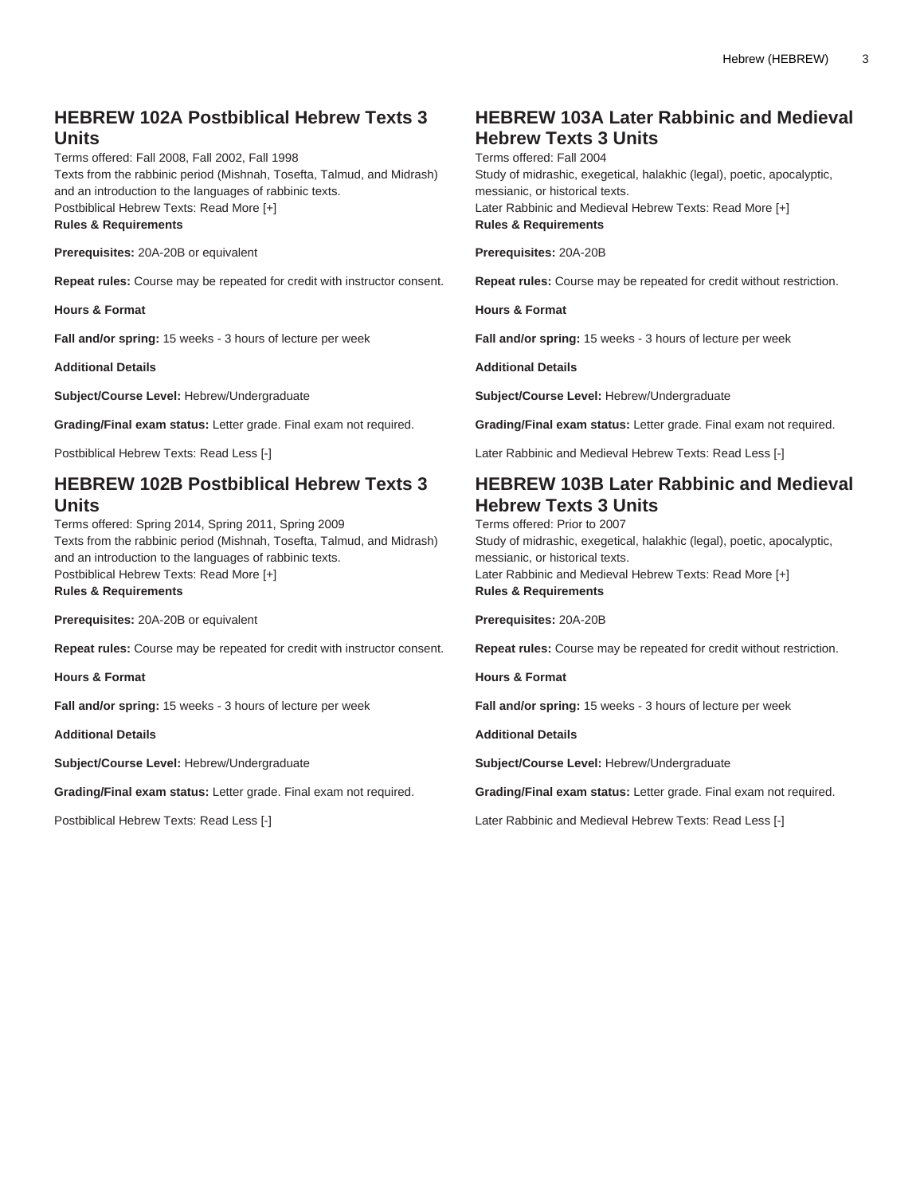### **HEBREW 102A Postbiblical Hebrew Texts 3 Units**

Terms offered: Fall 2008, Fall 2002, Fall 1998 Texts from the rabbinic period (Mishnah, Tosefta, Talmud, and Midrash) and an introduction to the languages of rabbinic texts. Postbiblical Hebrew Texts: Read More [+] **Rules & Requirements**

**Prerequisites:** 20A-20B or equivalent

**Repeat rules:** Course may be repeated for credit with instructor consent.

**Hours & Format**

**Fall and/or spring:** 15 weeks - 3 hours of lecture per week

**Additional Details**

**Subject/Course Level:** Hebrew/Undergraduate

**Grading/Final exam status:** Letter grade. Final exam not required.

Postbiblical Hebrew Texts: Read Less [-]

## **HEBREW 102B Postbiblical Hebrew Texts 3 Units**

Terms offered: Spring 2014, Spring 2011, Spring 2009 Texts from the rabbinic period (Mishnah, Tosefta, Talmud, and Midrash) and an introduction to the languages of rabbinic texts. Postbiblical Hebrew Texts: Read More [+]

**Rules & Requirements**

**Prerequisites:** 20A-20B or equivalent

**Repeat rules:** Course may be repeated for credit with instructor consent.

**Hours & Format**

**Fall and/or spring:** 15 weeks - 3 hours of lecture per week

**Additional Details**

**Subject/Course Level:** Hebrew/Undergraduate

**Grading/Final exam status:** Letter grade. Final exam not required.

Postbiblical Hebrew Texts: Read Less [-]

## **HEBREW 103A Later Rabbinic and Medieval Hebrew Texts 3 Units**

Terms offered: Fall 2004 Study of midrashic, exegetical, halakhic (legal), poetic, apocalyptic, messianic, or historical texts. Later Rabbinic and Medieval Hebrew Texts: Read More [+] **Rules & Requirements**

**Prerequisites:** 20A-20B

**Repeat rules:** Course may be repeated for credit without restriction.

**Hours & Format**

**Fall and/or spring:** 15 weeks - 3 hours of lecture per week

**Additional Details**

**Subject/Course Level:** Hebrew/Undergraduate

**Grading/Final exam status:** Letter grade. Final exam not required.

Later Rabbinic and Medieval Hebrew Texts: Read Less [-]

## **HEBREW 103B Later Rabbinic and Medieval Hebrew Texts 3 Units**

Terms offered: Prior to 2007 Study of midrashic, exegetical, halakhic (legal), poetic, apocalyptic, messianic, or historical texts. Later Rabbinic and Medieval Hebrew Texts: Read More [+] **Rules & Requirements**

**Prerequisites:** 20A-20B

**Repeat rules:** Course may be repeated for credit without restriction.

**Hours & Format**

**Fall and/or spring:** 15 weeks - 3 hours of lecture per week

**Additional Details**

**Subject/Course Level:** Hebrew/Undergraduate

**Grading/Final exam status:** Letter grade. Final exam not required.

Later Rabbinic and Medieval Hebrew Texts: Read Less [-]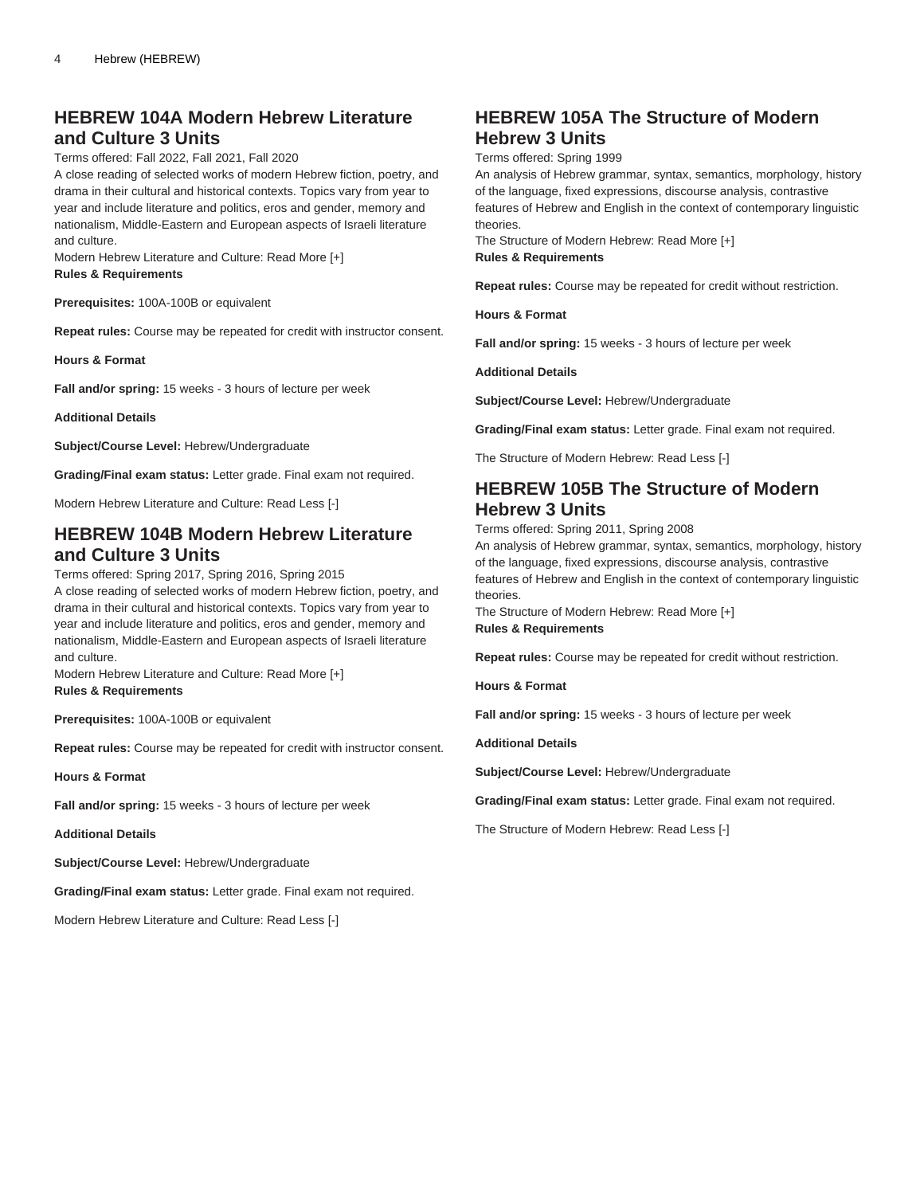## **HEBREW 104A Modern Hebrew Literature and Culture 3 Units**

Terms offered: Fall 2022, Fall 2021, Fall 2020

A close reading of selected works of modern Hebrew fiction, poetry, and drama in their cultural and historical contexts. Topics vary from year to year and include literature and politics, eros and gender, memory and nationalism, Middle-Eastern and European aspects of Israeli literature and culture.

Modern Hebrew Literature and Culture: Read More [+] **Rules & Requirements**

**Prerequisites:** 100A-100B or equivalent

**Repeat rules:** Course may be repeated for credit with instructor consent.

**Hours & Format**

**Fall and/or spring:** 15 weeks - 3 hours of lecture per week

**Additional Details**

**Subject/Course Level:** Hebrew/Undergraduate

**Grading/Final exam status:** Letter grade. Final exam not required.

Modern Hebrew Literature and Culture: Read Less [-]

## **HEBREW 104B Modern Hebrew Literature and Culture 3 Units**

Terms offered: Spring 2017, Spring 2016, Spring 2015

A close reading of selected works of modern Hebrew fiction, poetry, and drama in their cultural and historical contexts. Topics vary from year to year and include literature and politics, eros and gender, memory and nationalism, Middle-Eastern and European aspects of Israeli literature and culture.

Modern Hebrew Literature and Culture: Read More [+] **Rules & Requirements**

**Prerequisites:** 100A-100B or equivalent

**Repeat rules:** Course may be repeated for credit with instructor consent.

**Hours & Format**

**Fall and/or spring:** 15 weeks - 3 hours of lecture per week

**Additional Details**

**Subject/Course Level:** Hebrew/Undergraduate

**Grading/Final exam status:** Letter grade. Final exam not required.

Modern Hebrew Literature and Culture: Read Less [-]

## **HEBREW 105A The Structure of Modern Hebrew 3 Units**

Terms offered: Spring 1999

An analysis of Hebrew grammar, syntax, semantics, morphology, history of the language, fixed expressions, discourse analysis, contrastive features of Hebrew and English in the context of contemporary linguistic theories.

The Structure of Modern Hebrew: Read More [+] **Rules & Requirements**

**Repeat rules:** Course may be repeated for credit without restriction.

**Hours & Format**

**Fall and/or spring:** 15 weeks - 3 hours of lecture per week

**Additional Details**

**Subject/Course Level:** Hebrew/Undergraduate

**Grading/Final exam status:** Letter grade. Final exam not required.

The Structure of Modern Hebrew: Read Less [-]

## **HEBREW 105B The Structure of Modern Hebrew 3 Units**

Terms offered: Spring 2011, Spring 2008

An analysis of Hebrew grammar, syntax, semantics, morphology, history of the language, fixed expressions, discourse analysis, contrastive features of Hebrew and English in the context of contemporary linguistic theories.

The Structure of Modern Hebrew: Read More [+] **Rules & Requirements**

**Repeat rules:** Course may be repeated for credit without restriction.

**Hours & Format**

**Fall and/or spring:** 15 weeks - 3 hours of lecture per week

**Additional Details**

**Subject/Course Level:** Hebrew/Undergraduate

**Grading/Final exam status:** Letter grade. Final exam not required.

The Structure of Modern Hebrew: Read Less [-]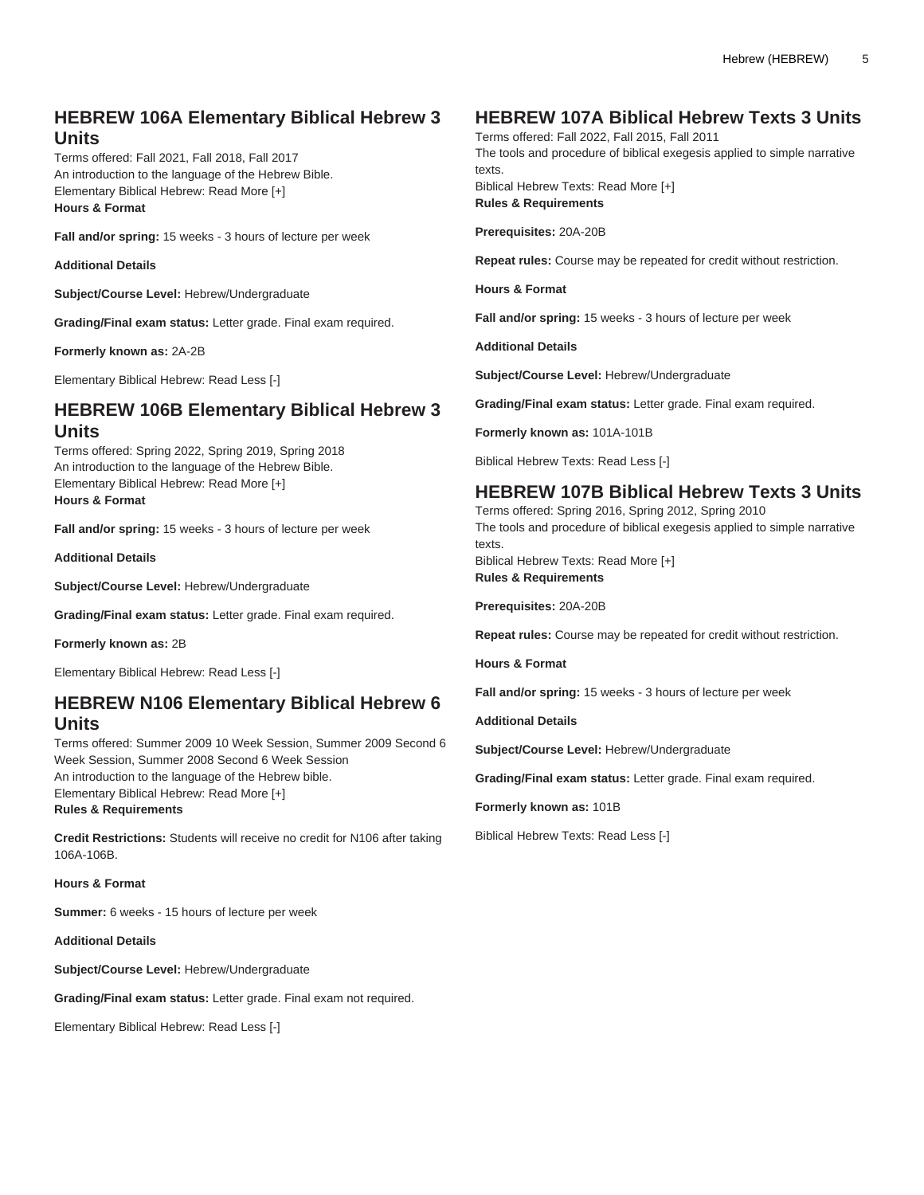## **HEBREW 106A Elementary Biblical Hebrew 3 Units**

Terms offered: Fall 2021, Fall 2018, Fall 2017 An introduction to the language of the Hebrew Bible. Elementary Biblical Hebrew: Read More [+] **Hours & Format**

**Fall and/or spring:** 15 weeks - 3 hours of lecture per week

**Additional Details**

**Subject/Course Level:** Hebrew/Undergraduate

**Grading/Final exam status:** Letter grade. Final exam required.

**Formerly known as:** 2A-2B

Elementary Biblical Hebrew: Read Less [-]

### **HEBREW 106B Elementary Biblical Hebrew 3 Units**

Terms offered: Spring 2022, Spring 2019, Spring 2018 An introduction to the language of the Hebrew Bible. Elementary Biblical Hebrew: Read More [+] **Hours & Format**

**Fall and/or spring:** 15 weeks - 3 hours of lecture per week

**Additional Details**

**Subject/Course Level:** Hebrew/Undergraduate

**Grading/Final exam status:** Letter grade. Final exam required.

**Formerly known as:** 2B

Elementary Biblical Hebrew: Read Less [-]

#### **HEBREW N106 Elementary Biblical Hebrew 6 Units**

Terms offered: Summer 2009 10 Week Session, Summer 2009 Second 6 Week Session, Summer 2008 Second 6 Week Session An introduction to the language of the Hebrew bible. Elementary Biblical Hebrew: Read More [+] **Rules & Requirements**

**Credit Restrictions:** Students will receive no credit for N106 after taking 106A-106B.

**Hours & Format**

**Summer:** 6 weeks - 15 hours of lecture per week

**Additional Details**

**Subject/Course Level:** Hebrew/Undergraduate

**Grading/Final exam status:** Letter grade. Final exam not required.

Elementary Biblical Hebrew: Read Less [-]

#### **HEBREW 107A Biblical Hebrew Texts 3 Units**

Terms offered: Fall 2022, Fall 2015, Fall 2011

The tools and procedure of biblical exegesis applied to simple narrative texts.

Biblical Hebrew Texts: Read More [+] **Rules & Requirements**

**Prerequisites:** 20A-20B

**Repeat rules:** Course may be repeated for credit without restriction.

**Hours & Format**

**Fall and/or spring:** 15 weeks - 3 hours of lecture per week

**Additional Details**

**Subject/Course Level:** Hebrew/Undergraduate

**Grading/Final exam status:** Letter grade. Final exam required.

**Formerly known as:** 101A-101B

Biblical Hebrew Texts: Read Less [-]

## **HEBREW 107B Biblical Hebrew Texts 3 Units**

Terms offered: Spring 2016, Spring 2012, Spring 2010 The tools and procedure of biblical exegesis applied to simple narrative texts. Biblical Hebrew Texts: Read More [+]

**Rules & Requirements**

**Prerequisites:** 20A-20B

**Repeat rules:** Course may be repeated for credit without restriction.

**Hours & Format**

**Fall and/or spring:** 15 weeks - 3 hours of lecture per week

**Additional Details**

**Subject/Course Level:** Hebrew/Undergraduate

**Grading/Final exam status:** Letter grade. Final exam required.

**Formerly known as:** 101B

Biblical Hebrew Texts: Read Less [-]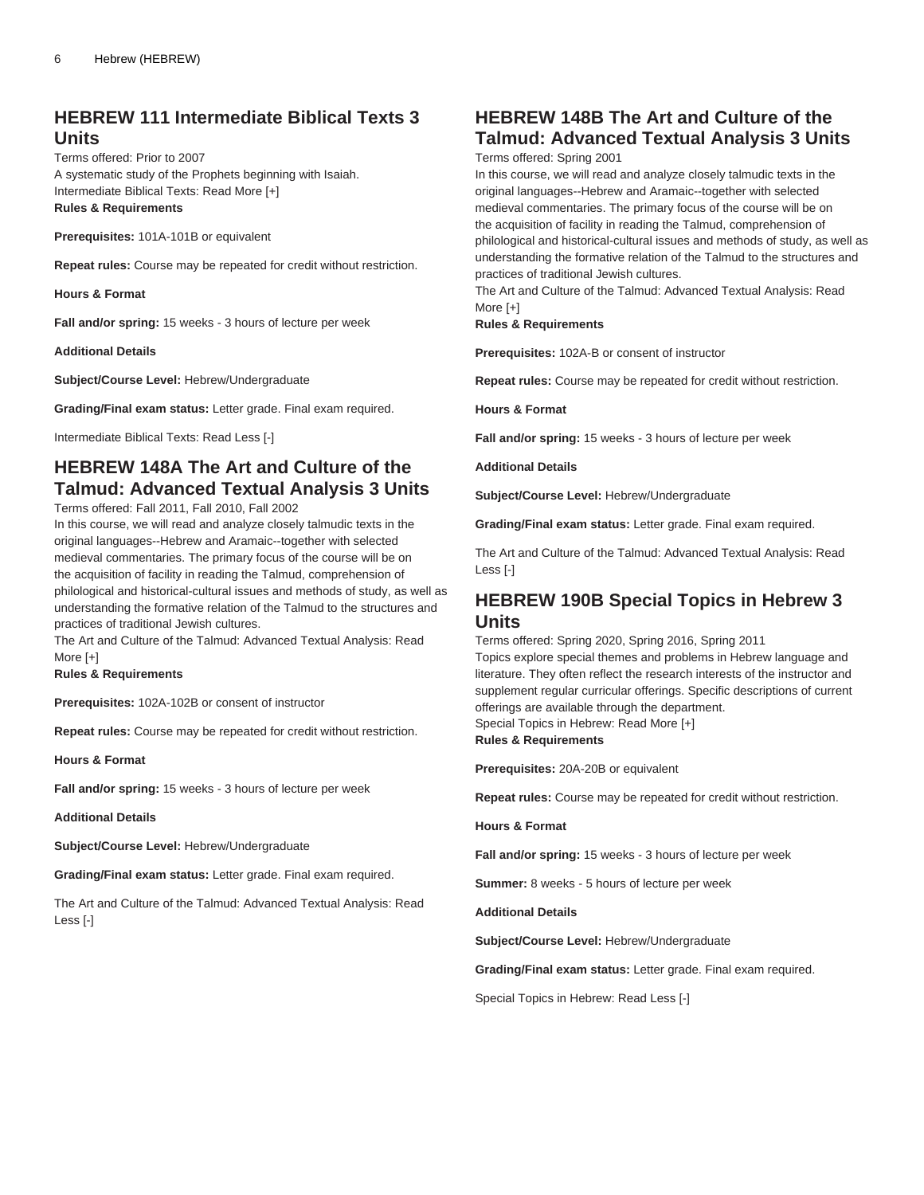#### **HEBREW 111 Intermediate Biblical Texts 3 Units**

Terms offered: Prior to 2007 A systematic study of the Prophets beginning with Isaiah. Intermediate Biblical Texts: Read More [+] **Rules & Requirements**

**Prerequisites:** 101A-101B or equivalent

**Repeat rules:** Course may be repeated for credit without restriction.

**Hours & Format**

**Fall and/or spring:** 15 weeks - 3 hours of lecture per week

**Additional Details**

**Subject/Course Level:** Hebrew/Undergraduate

**Grading/Final exam status:** Letter grade. Final exam required.

Intermediate Biblical Texts: Read Less [-]

## **HEBREW 148A The Art and Culture of the Talmud: Advanced Textual Analysis 3 Units**

Terms offered: Fall 2011, Fall 2010, Fall 2002

In this course, we will read and analyze closely talmudic texts in the original languages--Hebrew and Aramaic--together with selected medieval commentaries. The primary focus of the course will be on the acquisition of facility in reading the Talmud, comprehension of philological and historical-cultural issues and methods of study, as well as understanding the formative relation of the Talmud to the structures and practices of traditional Jewish cultures.

The Art and Culture of the Talmud: Advanced Textual Analysis: Read More [+]

**Rules & Requirements**

**Prerequisites:** 102A-102B or consent of instructor

**Repeat rules:** Course may be repeated for credit without restriction.

**Hours & Format**

**Fall and/or spring:** 15 weeks - 3 hours of lecture per week

**Additional Details**

**Subject/Course Level:** Hebrew/Undergraduate

**Grading/Final exam status:** Letter grade. Final exam required.

The Art and Culture of the Talmud: Advanced Textual Analysis: Read Less [-]

## **HEBREW 148B The Art and Culture of the Talmud: Advanced Textual Analysis 3 Units**

Terms offered: Spring 2001

In this course, we will read and analyze closely talmudic texts in the original languages--Hebrew and Aramaic--together with selected medieval commentaries. The primary focus of the course will be on the acquisition of facility in reading the Talmud, comprehension of philological and historical-cultural issues and methods of study, as well as understanding the formative relation of the Talmud to the structures and practices of traditional Jewish cultures.

The Art and Culture of the Talmud: Advanced Textual Analysis: Read More [+]

#### **Rules & Requirements**

**Prerequisites:** 102A-B or consent of instructor

**Repeat rules:** Course may be repeated for credit without restriction.

**Hours & Format**

**Fall and/or spring:** 15 weeks - 3 hours of lecture per week

**Additional Details**

**Subject/Course Level:** Hebrew/Undergraduate

**Grading/Final exam status:** Letter grade. Final exam required.

The Art and Culture of the Talmud: Advanced Textual Analysis: Read Less [-]

#### **HEBREW 190B Special Topics in Hebrew 3 Units**

Terms offered: Spring 2020, Spring 2016, Spring 2011

Topics explore special themes and problems in Hebrew language and literature. They often reflect the research interests of the instructor and supplement regular curricular offerings. Specific descriptions of current offerings are available through the department.

Special Topics in Hebrew: Read More [+]

**Rules & Requirements**

**Prerequisites:** 20A-20B or equivalent

**Repeat rules:** Course may be repeated for credit without restriction.

**Hours & Format**

**Fall and/or spring:** 15 weeks - 3 hours of lecture per week

**Summer:** 8 weeks - 5 hours of lecture per week

**Additional Details**

**Subject/Course Level:** Hebrew/Undergraduate

**Grading/Final exam status:** Letter grade. Final exam required.

Special Topics in Hebrew: Read Less [-]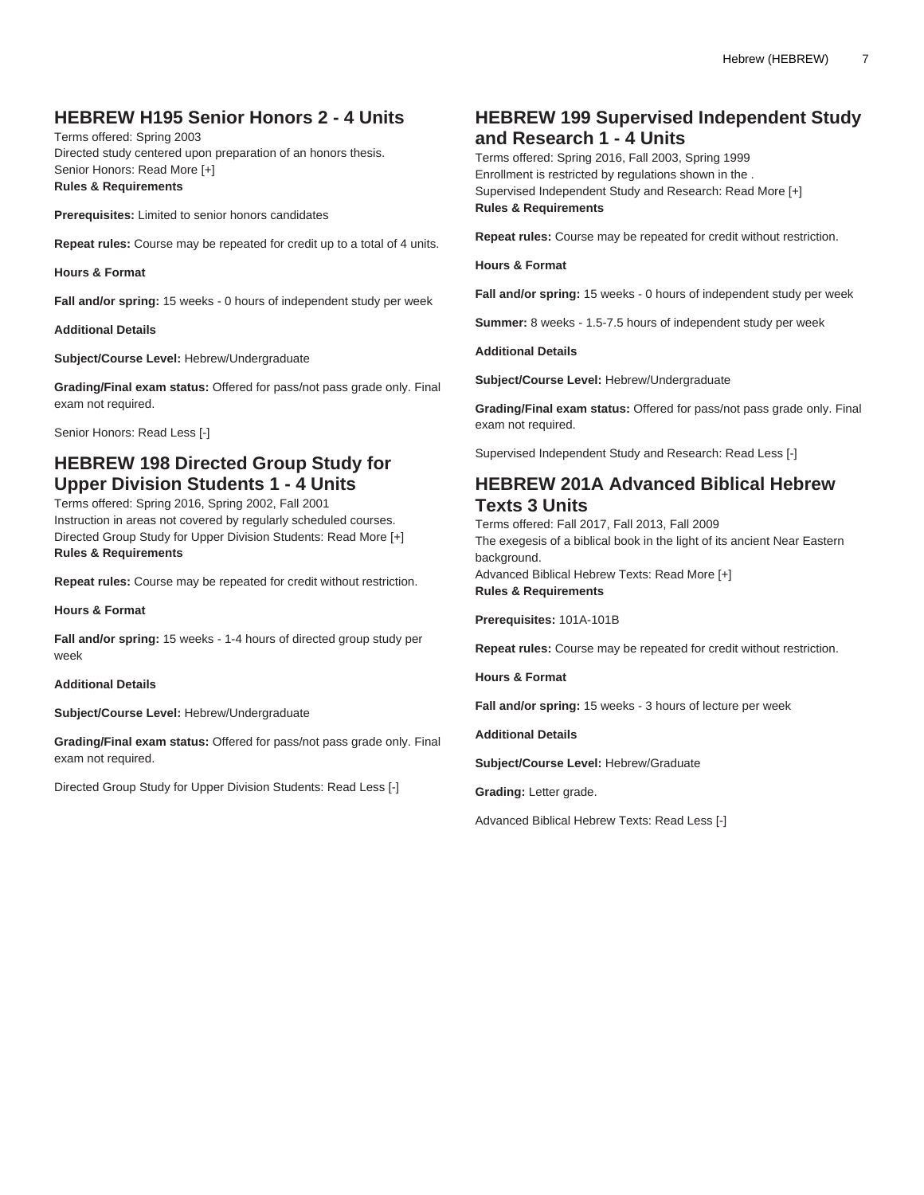## **HEBREW H195 Senior Honors 2 - 4 Units**

Terms offered: Spring 2003 Directed study centered upon preparation of an honors thesis. Senior Honors: Read More [+] **Rules & Requirements**

**Prerequisites:** Limited to senior honors candidates

**Repeat rules:** Course may be repeated for credit up to a total of 4 units.

**Hours & Format**

**Fall and/or spring:** 15 weeks - 0 hours of independent study per week

**Additional Details**

**Subject/Course Level:** Hebrew/Undergraduate

**Grading/Final exam status:** Offered for pass/not pass grade only. Final exam not required.

Senior Honors: Read Less [-]

#### **HEBREW 198 Directed Group Study for Upper Division Students 1 - 4 Units**

Terms offered: Spring 2016, Spring 2002, Fall 2001 Instruction in areas not covered by regularly scheduled courses. Directed Group Study for Upper Division Students: Read More [+] **Rules & Requirements**

**Repeat rules:** Course may be repeated for credit without restriction.

**Hours & Format**

**Fall and/or spring:** 15 weeks - 1-4 hours of directed group study per week

**Additional Details**

**Subject/Course Level:** Hebrew/Undergraduate

**Grading/Final exam status:** Offered for pass/not pass grade only. Final exam not required.

Directed Group Study for Upper Division Students: Read Less [-]

#### **HEBREW 199 Supervised Independent Study and Research 1 - 4 Units**

Terms offered: Spring 2016, Fall 2003, Spring 1999 Enrollment is restricted by regulations shown in the . Supervised Independent Study and Research: Read More [+] **Rules & Requirements**

**Repeat rules:** Course may be repeated for credit without restriction.

**Hours & Format**

**Fall and/or spring:** 15 weeks - 0 hours of independent study per week

**Summer:** 8 weeks - 1.5-7.5 hours of independent study per week

**Additional Details**

**Subject/Course Level:** Hebrew/Undergraduate

**Grading/Final exam status:** Offered for pass/not pass grade only. Final exam not required.

Supervised Independent Study and Research: Read Less [-]

## **HEBREW 201A Advanced Biblical Hebrew Texts 3 Units**

Terms offered: Fall 2017, Fall 2013, Fall 2009 The exegesis of a biblical book in the light of its ancient Near Eastern background. Advanced Biblical Hebrew Texts: Read More [+]

**Rules & Requirements**

**Prerequisites:** 101A-101B

**Repeat rules:** Course may be repeated for credit without restriction.

**Hours & Format**

**Fall and/or spring:** 15 weeks - 3 hours of lecture per week

**Additional Details**

**Subject/Course Level:** Hebrew/Graduate

**Grading:** Letter grade.

Advanced Biblical Hebrew Texts: Read Less [-]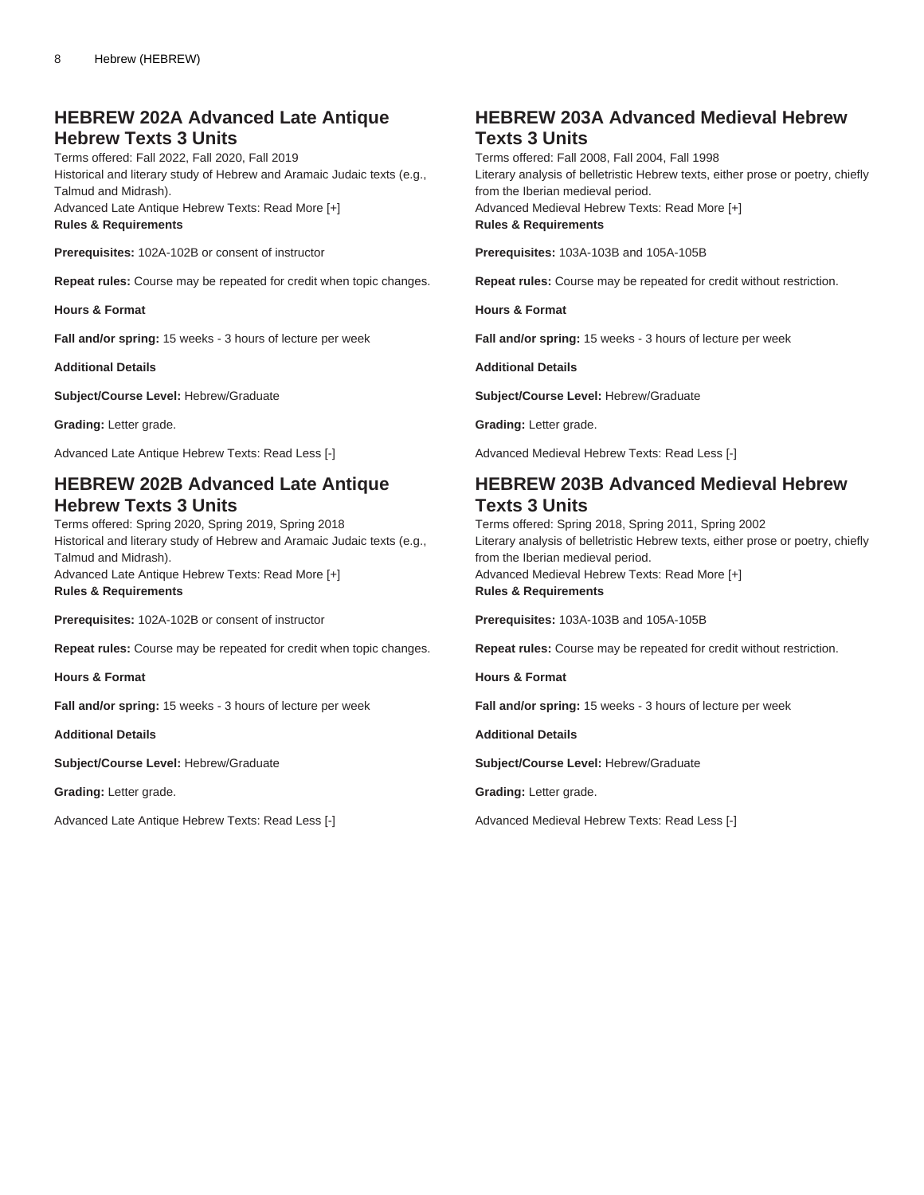## **HEBREW 202A Advanced Late Antique Hebrew Texts 3 Units**

Terms offered: Fall 2022, Fall 2020, Fall 2019 Historical and literary study of Hebrew and Aramaic Judaic texts (e.g., Talmud and Midrash). Advanced Late Antique Hebrew Texts: Read More [+] **Rules & Requirements**

**Prerequisites:** 102A-102B or consent of instructor

**Repeat rules:** Course may be repeated for credit when topic changes.

**Hours & Format**

**Fall and/or spring:** 15 weeks - 3 hours of lecture per week

**Additional Details**

**Subject/Course Level:** Hebrew/Graduate

**Grading:** Letter grade.

Advanced Late Antique Hebrew Texts: Read Less [-]

## **HEBREW 202B Advanced Late Antique Hebrew Texts 3 Units**

Terms offered: Spring 2020, Spring 2019, Spring 2018 Historical and literary study of Hebrew and Aramaic Judaic texts (e.g., Talmud and Midrash). Advanced Late Antique Hebrew Texts: Read More [+]

**Rules & Requirements**

**Prerequisites:** 102A-102B or consent of instructor

**Repeat rules:** Course may be repeated for credit when topic changes.

**Hours & Format**

**Fall and/or spring:** 15 weeks - 3 hours of lecture per week

**Additional Details**

**Subject/Course Level:** Hebrew/Graduate

**Grading:** Letter grade.

Advanced Late Antique Hebrew Texts: Read Less [-]

## **HEBREW 203A Advanced Medieval Hebrew Texts 3 Units**

Terms offered: Fall 2008, Fall 2004, Fall 1998 Literary analysis of belletristic Hebrew texts, either prose or poetry, chiefly from the Iberian medieval period. Advanced Medieval Hebrew Texts: Read More [+] **Rules & Requirements**

**Prerequisites:** 103A-103B and 105A-105B

**Repeat rules:** Course may be repeated for credit without restriction.

**Hours & Format**

**Fall and/or spring:** 15 weeks - 3 hours of lecture per week

**Additional Details**

**Subject/Course Level:** Hebrew/Graduate

**Grading:** Letter grade.

Advanced Medieval Hebrew Texts: Read Less [-]

## **HEBREW 203B Advanced Medieval Hebrew Texts 3 Units**

Terms offered: Spring 2018, Spring 2011, Spring 2002 Literary analysis of belletristic Hebrew texts, either prose or poetry, chiefly from the Iberian medieval period. Advanced Medieval Hebrew Texts: Read More [+] **Rules & Requirements**

**Prerequisites:** 103A-103B and 105A-105B

**Repeat rules:** Course may be repeated for credit without restriction.

**Hours & Format**

**Fall and/or spring:** 15 weeks - 3 hours of lecture per week

**Additional Details**

**Subject/Course Level:** Hebrew/Graduate

**Grading:** Letter grade.

Advanced Medieval Hebrew Texts: Read Less [-]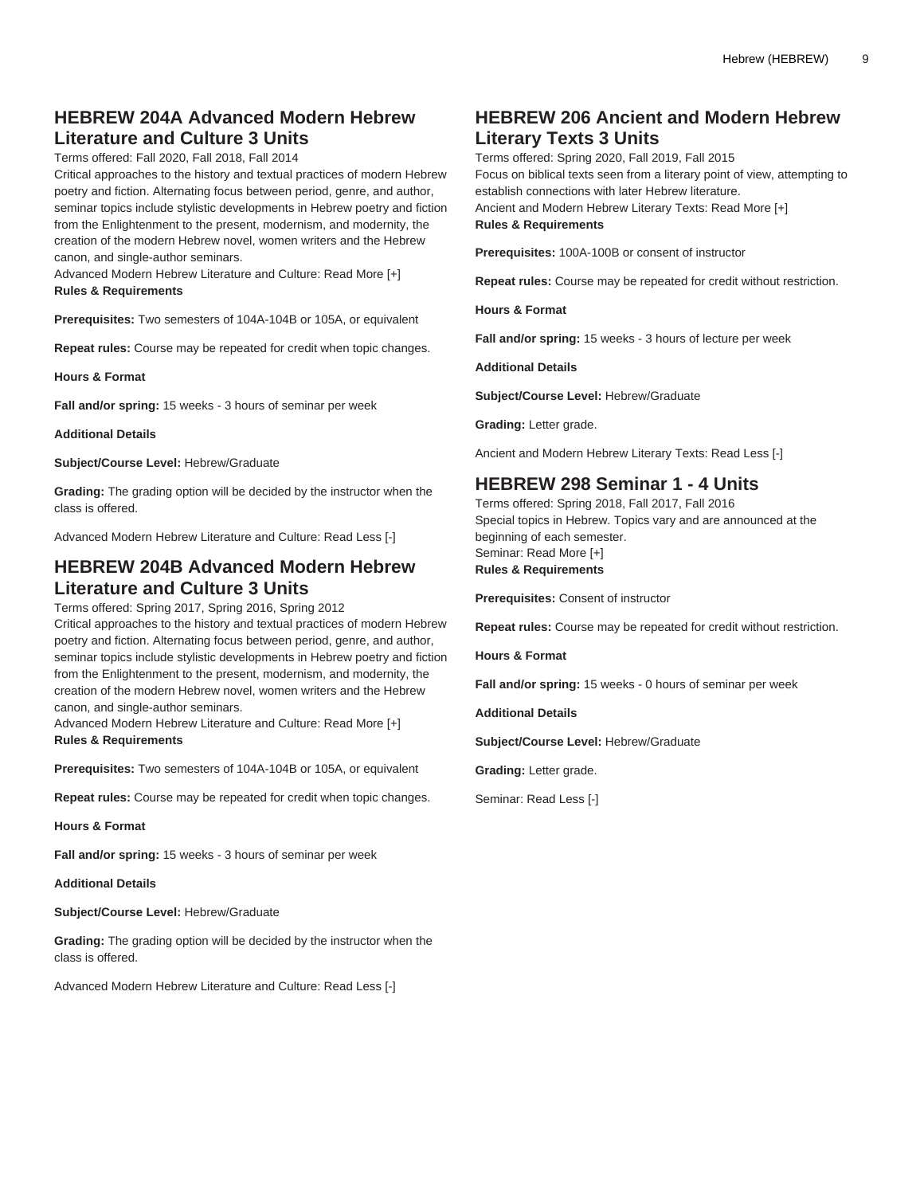## **HEBREW 204A Advanced Modern Hebrew Literature and Culture 3 Units**

Terms offered: Fall 2020, Fall 2018, Fall 2014

Critical approaches to the history and textual practices of modern Hebrew poetry and fiction. Alternating focus between period, genre, and author, seminar topics include stylistic developments in Hebrew poetry and fiction from the Enlightenment to the present, modernism, and modernity, the creation of the modern Hebrew novel, women writers and the Hebrew canon, and single-author seminars.

Advanced Modern Hebrew Literature and Culture: Read More [+] **Rules & Requirements**

**Prerequisites:** Two semesters of 104A-104B or 105A, or equivalent

**Repeat rules:** Course may be repeated for credit when topic changes.

**Hours & Format**

**Fall and/or spring:** 15 weeks - 3 hours of seminar per week

**Additional Details**

**Subject/Course Level:** Hebrew/Graduate

**Grading:** The grading option will be decided by the instructor when the class is offered.

Advanced Modern Hebrew Literature and Culture: Read Less [-]

#### **HEBREW 204B Advanced Modern Hebrew Literature and Culture 3 Units**

Terms offered: Spring 2017, Spring 2016, Spring 2012

Critical approaches to the history and textual practices of modern Hebrew poetry and fiction. Alternating focus between period, genre, and author, seminar topics include stylistic developments in Hebrew poetry and fiction from the Enlightenment to the present, modernism, and modernity, the creation of the modern Hebrew novel, women writers and the Hebrew canon, and single-author seminars.

Advanced Modern Hebrew Literature and Culture: Read More [+] **Rules & Requirements**

**Prerequisites:** Two semesters of 104A-104B or 105A, or equivalent

**Repeat rules:** Course may be repeated for credit when topic changes.

**Hours & Format**

**Fall and/or spring:** 15 weeks - 3 hours of seminar per week

**Additional Details**

**Subject/Course Level:** Hebrew/Graduate

**Grading:** The grading option will be decided by the instructor when the class is offered.

Advanced Modern Hebrew Literature and Culture: Read Less [-]

#### **HEBREW 206 Ancient and Modern Hebrew Literary Texts 3 Units**

Terms offered: Spring 2020, Fall 2019, Fall 2015 Focus on biblical texts seen from a literary point of view, attempting to establish connections with later Hebrew literature. Ancient and Modern Hebrew Literary Texts: Read More [+] **Rules & Requirements**

**Prerequisites:** 100A-100B or consent of instructor

**Repeat rules:** Course may be repeated for credit without restriction.

**Hours & Format**

**Fall and/or spring:** 15 weeks - 3 hours of lecture per week

**Additional Details**

**Subject/Course Level:** Hebrew/Graduate

**Grading:** Letter grade.

Ancient and Modern Hebrew Literary Texts: Read Less [-]

## **HEBREW 298 Seminar 1 - 4 Units**

Terms offered: Spring 2018, Fall 2017, Fall 2016 Special topics in Hebrew. Topics vary and are announced at the beginning of each semester. Seminar: Read More [+] **Rules & Requirements**

**Prerequisites:** Consent of instructor

**Repeat rules:** Course may be repeated for credit without restriction.

**Hours & Format**

**Fall and/or spring:** 15 weeks - 0 hours of seminar per week

**Additional Details**

**Subject/Course Level:** Hebrew/Graduate

**Grading:** Letter grade.

Seminar: Read Less [-]